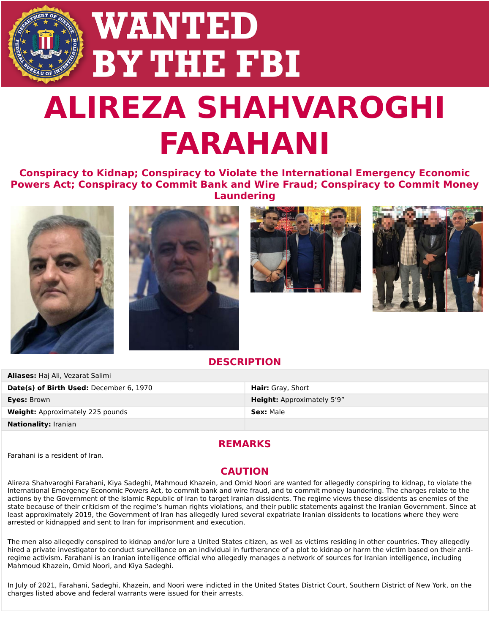# **WANTED BY THE FBI ALIREZA SHAHVAROGHI FARAHANI**

### **Conspiracy to Kidnap; Conspiracy to Violate the International Emergency Economic Powers Act; Conspiracy to Commit Bank and Wire Fraud; Conspiracy to Commit Money Laundering**



**Aliases:** Haj Ali, Vezarat Salimi







#### **DESCRIPTION**

| <b>Alid Ses:</b> Ndj Ali, vezdidl Sdillill |                                   |
|--------------------------------------------|-----------------------------------|
| Date(s) of Birth Used: December 6, 1970    | <b>Hair:</b> Gray, Short          |
| Eyes: Brown                                | <b>Height:</b> Approximately 5'9" |
| <b>Weight:</b> Approximately 225 pounds    | <b>Sex: Male</b>                  |
| <b>Nationality:</b> Iranian                |                                   |

#### **REMARKS**

Farahani is a resident of Iran.

#### **CAUTION**

Alireza Shahvaroghi Farahani, [Kiya Sadeghi](https://www.fbi.gov/wanted/counterintelligence/kiya-sadeghi), [Mahmoud Khazein,](https://www.fbi.gov/wanted/counterintelligence/mahmoud-khazein) and [Omid Noori](https://www.fbi.gov/wanted/counterintelligence/omid-noori) are wanted for allegedly conspiring to kidnap, to violate the International Emergency Economic Powers Act, to commit bank and wire fraud, and to commit money laundering. The charges relate to the actions by the Government of the Islamic Republic of Iran to target Iranian dissidents. The regime views these dissidents as enemies of the state because of their criticism of the regime's human rights violations, and their public statements against the Iranian Government. Since at least approximately 2019, the Government of Iran has allegedly lured several expatriate Iranian dissidents to locations where they were arrested or kidnapped and sent to Iran for imprisonment and execution.

The men also allegedly conspired to kidnap and/or lure a United States citizen, as well as victims residing in other countries. They allegedly hired a private investigator to conduct surveillance on an individual in furtherance of a plot to kidnap or harm the victim based on their antiregime activism. Farahani is an Iranian intelligence official who allegedly manages a network of sources for Iranian intelligence, including Mahmoud Khazein, Omid Noori, and Kiya Sadeghi.

In July of 2021, Farahani, Sadeghi, Khazein, and Noori were indicted in the United States District Court, Southern District of New York, on the charges listed above and federal warrants were issued for their arrests.